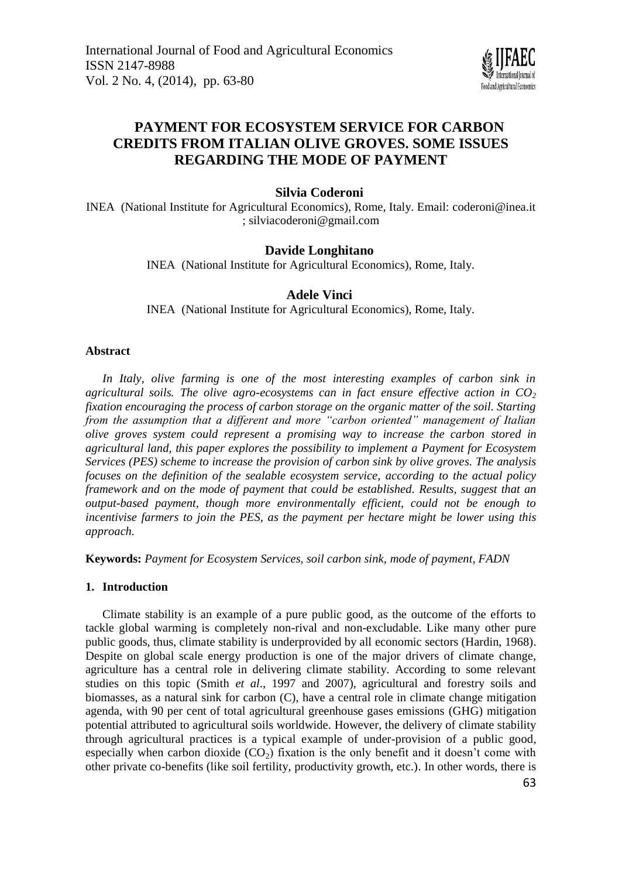

# **PAYMENT FOR ECOSYSTEM SERVICE FOR CARBON CREDITS FROM ITALIAN OLIVE GROVES. SOME ISSUES REGARDING THE MODE OF PAYMENT**

**Silvia Coderoni**

INEA (National Institute for Agricultural Economics), Rome, Italy. Email: [coderoni@inea.it](mailto:coderoni@inea.it) [; silviacoderoni@gmail.com](mailto:silviacoderoni@gmail.com)

# **Davide Longhitano**

INEA (National Institute for Agricultural Economics), Rome, Italy.

# **Adele Vinci**

INEA (National Institute for Agricultural Economics), Rome, Italy.

#### **Abstract**

*In Italy, olive farming is one of the most interesting examples of carbon sink in agricultural soils. The olive agro-ecosystems can in fact ensure effective action in CO<sup>2</sup> fixation encouraging the process of carbon storage on the organic matter of the soil. Starting from the assumption that a different and more "carbon oriented" management of Italian olive groves system could represent a promising way to increase the carbon stored in agricultural land, this paper explores the possibility to implement a Payment for Ecosystem Services (PES) scheme to increase the provision of carbon sink by olive groves. The analysis focuses on the definition of the sealable ecosystem service, according to the actual policy framework and on the mode of payment that could be established. Results, suggest that an output-based payment, though more environmentally efficient, could not be enough to incentivise farmers to join the PES, as the payment per hectare might be lower using this approach.*

**Keywords:** *Payment for Ecosystem Services, soil carbon sink, mode of payment, FADN*

# **1. Introduction**

Climate stability is an example of a pure public good, as the outcome of the efforts to tackle global warming is completely non-rival and non-excludable. Like many other pure public goods, thus, climate stability is underprovided by all economic sectors (Hardin, 1968). Despite on global scale energy production is one of the major drivers of climate change, agriculture has a central role in delivering climate stability. According to some relevant studies on this topic (Smith *et al*., 1997 and 2007), agricultural and forestry soils and biomasses, as a natural sink for carbon (C), have a central role in climate change mitigation agenda, with 90 per cent of total agricultural greenhouse gases emissions (GHG) mitigation potential attributed to agricultural soils worldwide. However, the delivery of climate stability through agricultural practices is a typical example of under-provision of a public good, especially when carbon dioxide  $(CO<sub>2</sub>)$  fixation is the only benefit and it doesn't come with other private co-benefits (like soil fertility, productivity growth, etc.). In other words, there is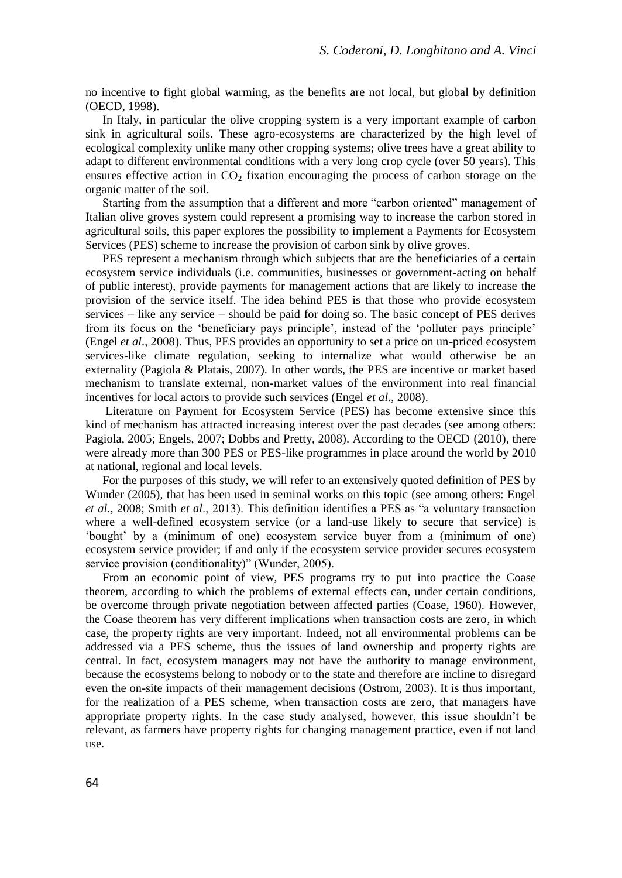no incentive to fight global warming, as the benefits are not local, but global by definition (OECD, 1998).

In Italy, in particular the olive cropping system is a very important example of carbon sink in agricultural soils. These agro-ecosystems are characterized by the high level of ecological complexity unlike many other cropping systems; olive trees have a great ability to adapt to different environmental conditions with a very long crop cycle (over 50 years). This ensures effective action in  $CO<sub>2</sub>$  fixation encouraging the process of carbon storage on the organic matter of the soil.

Starting from the assumption that a different and more "carbon oriented" management of Italian olive groves system could represent a promising way to increase the carbon stored in agricultural soils, this paper explores the possibility to implement a Payments for Ecosystem Services (PES) scheme to increase the provision of carbon sink by olive groves.

PES represent a mechanism through which subjects that are the beneficiaries of a certain ecosystem service individuals (i.e. communities, businesses or government-acting on behalf of public interest), provide payments for management actions that are likely to increase the provision of the service itself. The idea behind PES is that those who provide ecosystem services – like any service – should be paid for doing so. The basic concept of PES derives from its focus on the 'beneficiary pays principle', instead of the 'polluter pays principle' (Engel *et al*., 2008). Thus, PES provides an opportunity to set a price on un-priced ecosystem services-like climate regulation, seeking to internalize what would otherwise be an externality (Pagiola & Platais, 2007). In other words, the PES are incentive or market based mechanism to translate external, non-market values of the environment into real financial incentives for local actors to provide such services (Engel *et al*., 2008).

Literature on Payment for Ecosystem Service (PES) has become extensive since this kind of mechanism has attracted increasing interest over the past decades (see among others: Pagiola, 2005; Engels, 2007; Dobbs and Pretty, 2008). According to the OECD (2010), there were already more than 300 PES or PES-like programmes in place around the world by 2010 at national, regional and local levels.

For the purposes of this study, we will refer to an extensively quoted definition of PES by Wunder (2005), that has been used in seminal works on this topic (see among others: Engel *et al*., 2008; Smith *et al*., 2013). This definition identifies a PES as "a voluntary transaction where a well-defined ecosystem service (or a land-use likely to secure that service) is 'bought' by a (minimum of one) ecosystem service buyer from a (minimum of one) ecosystem service provider; if and only if the ecosystem service provider secures ecosystem service provision (conditionality)" (Wunder, 2005).

From an economic point of view, PES programs try to put into practice the Coase theorem, according to which the problems of external effects can, under certain conditions, be overcome through private negotiation between affected parties (Coase, 1960). However, the Coase theorem has very different implications when transaction costs are zero, in which case, the property rights are very important. Indeed, not all environmental problems can be addressed via a PES scheme, thus the issues of land ownership and property rights are central. In fact, ecosystem managers may not have the authority to manage environment, because the ecosystems belong to nobody or to the state and therefore are incline to disregard even the on-site impacts of their management decisions (Ostrom, 2003). It is thus important, for the realization of a PES scheme, when transaction costs are zero, that managers have appropriate property rights. In the case study analysed, however, this issue shouldn't be relevant, as farmers have property rights for changing management practice, even if not land use.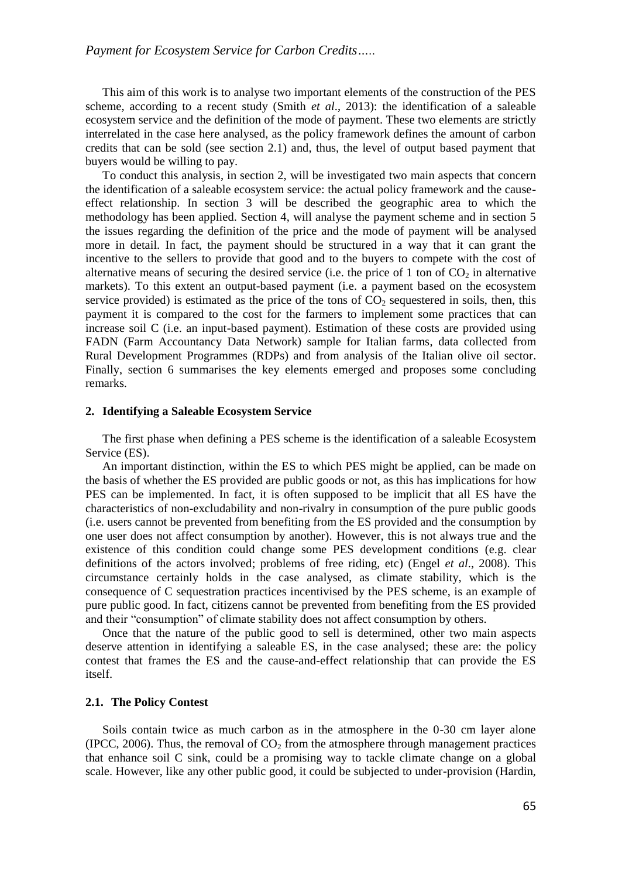This aim of this work is to analyse two important elements of the construction of the PES scheme, according to a recent study (Smith *et al*., 2013): the identification of a saleable ecosystem service and the definition of the mode of payment. These two elements are strictly interrelated in the case here analysed, as the policy framework defines the amount of carbon credits that can be sold (see section 2.1) and, thus, the level of output based payment that buyers would be willing to pay.

To conduct this analysis, in section 2, will be investigated two main aspects that concern the identification of a saleable ecosystem service: the actual policy framework and the causeeffect relationship. In section 3 will be described the geographic area to which the methodology has been applied. Section 4, will analyse the payment scheme and in section 5 the issues regarding the definition of the price and the mode of payment will be analysed more in detail. In fact, the payment should be structured in a way that it can grant the incentive to the sellers to provide that good and to the buyers to compete with the cost of alternative means of securing the desired service (i.e. the price of 1 ton of  $CO<sub>2</sub>$  in alternative markets). To this extent an output-based payment (i.e. a payment based on the ecosystem service provided) is estimated as the price of the tons of  $CO<sub>2</sub>$  sequestered in soils, then, this payment it is compared to the cost for the farmers to implement some practices that can increase soil C (i.e. an input-based payment). Estimation of these costs are provided using FADN (Farm Accountancy Data Network) sample for Italian farms, data collected from Rural Development Programmes (RDPs) and from analysis of the Italian olive oil sector. Finally, section 6 summarises the key elements emerged and proposes some concluding remarks.

#### **2. Identifying a Saleable Ecosystem Service**

The first phase when defining a PES scheme is the identification of a saleable Ecosystem Service (ES).

An important distinction, within the ES to which PES might be applied, can be made on the basis of whether the ES provided are public goods or not, as this has implications for how PES can be implemented. In fact, it is often supposed to be implicit that all ES have the characteristics of non-excludability and non-rivalry in consumption of the pure public goods (i.e. users cannot be prevented from benefiting from the ES provided and the consumption by one user does not affect consumption by another). However, this is not always true and the existence of this condition could change some PES development conditions (e.g. clear definitions of the actors involved; problems of free riding, etc) (Engel *et al*., 2008). This circumstance certainly holds in the case analysed, as climate stability, which is the consequence of C sequestration practices incentivised by the PES scheme, is an example of pure public good. In fact, citizens cannot be prevented from benefiting from the ES provided and their "consumption" of climate stability does not affect consumption by others.

Once that the nature of the public good to sell is determined, other two main aspects deserve attention in identifying a saleable ES, in the case analysed; these are: the policy contest that frames the ES and the cause-and-effect relationship that can provide the ES itself.

## **2.1. The Policy Contest**

Soils contain twice as much carbon as in the atmosphere in the 0-30 cm layer alone (IPCC, 2006). Thus, the removal of  $CO<sub>2</sub>$  from the atmosphere through management practices that enhance soil C sink, could be a promising way to tackle climate change on a global scale. However, like any other public good, it could be subjected to under-provision (Hardin,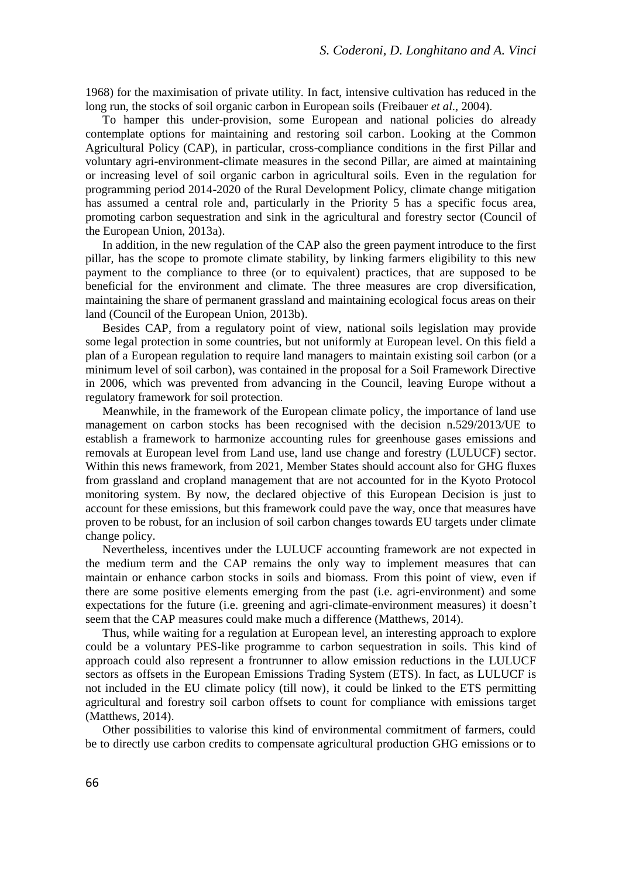1968) for the maximisation of private utility. In fact, intensive cultivation has reduced in the long run, the stocks of soil organic carbon in European soils (Freibauer *et al*., 2004).

To hamper this under-provision, some European and national policies do already contemplate options for maintaining and restoring soil carbon. Looking at the Common Agricultural Policy (CAP), in particular, cross-compliance conditions in the first Pillar and voluntary agri-environment-climate measures in the second Pillar, are aimed at maintaining or increasing level of soil organic carbon in agricultural soils. Even in the regulation for programming period 2014-2020 of the Rural Development Policy, climate change mitigation has assumed a central role and, particularly in the Priority 5 has a specific focus area, promoting carbon sequestration and sink in the agricultural and forestry sector (Council of the European Union, 2013a).

In addition, in the new regulation of the CAP also the green payment introduce to the first pillar, has the scope to promote climate stability, by linking farmers eligibility to this new payment to the compliance to three (or to equivalent) practices, that are supposed to be beneficial for the environment and climate. The three measures are crop diversification, maintaining the share of permanent grassland and maintaining ecological focus areas on their land (Council of the European Union, 2013b).

Besides CAP, from a regulatory point of view, national soils legislation may provide some legal protection in some countries, but not uniformly at European level. On this field a plan of a European regulation to require land managers to maintain existing soil carbon (or a minimum level of soil carbon), was contained in the proposal for a Soil Framework Directive in 2006, which was prevented from advancing in the Council, leaving Europe without a regulatory framework for soil protection.

Meanwhile, in the framework of the European climate policy, the importance of land use management on carbon stocks has been recognised with the decision n.529/2013/UE to establish a framework to harmonize accounting rules for greenhouse gases emissions and removals at European level from Land use, land use change and forestry (LULUCF) sector. Within this news framework, from 2021, Member States should account also for GHG fluxes from grassland and cropland management that are not accounted for in the Kyoto Protocol monitoring system. By now, the declared objective of this European Decision is just to account for these emissions, but this framework could pave the way, once that measures have proven to be robust, for an inclusion of soil carbon changes towards EU targets under climate change policy.

Nevertheless, incentives under the LULUCF accounting framework are not expected in the medium term and the CAP remains the only way to implement measures that can maintain or enhance carbon stocks in soils and biomass. From this point of view, even if there are some positive elements emerging from the past (i.e. agri-environment) and some expectations for the future (i.e. greening and agri-climate-environment measures) it doesn't seem that the CAP measures could make much a difference (Matthews, 2014).

Thus, while waiting for a regulation at European level, an interesting approach to explore could be a voluntary PES-like programme to carbon sequestration in soils. This kind of approach could also represent a frontrunner to allow emission reductions in the LULUCF sectors as offsets in the European Emissions Trading System (ETS). In fact, as LULUCF is not included in the EU climate policy (till now), it could be linked to the ETS permitting agricultural and forestry soil carbon offsets to count for compliance with emissions target (Matthews, 2014).

Other possibilities to valorise this kind of environmental commitment of farmers, could be to directly use carbon credits to compensate agricultural production GHG emissions or to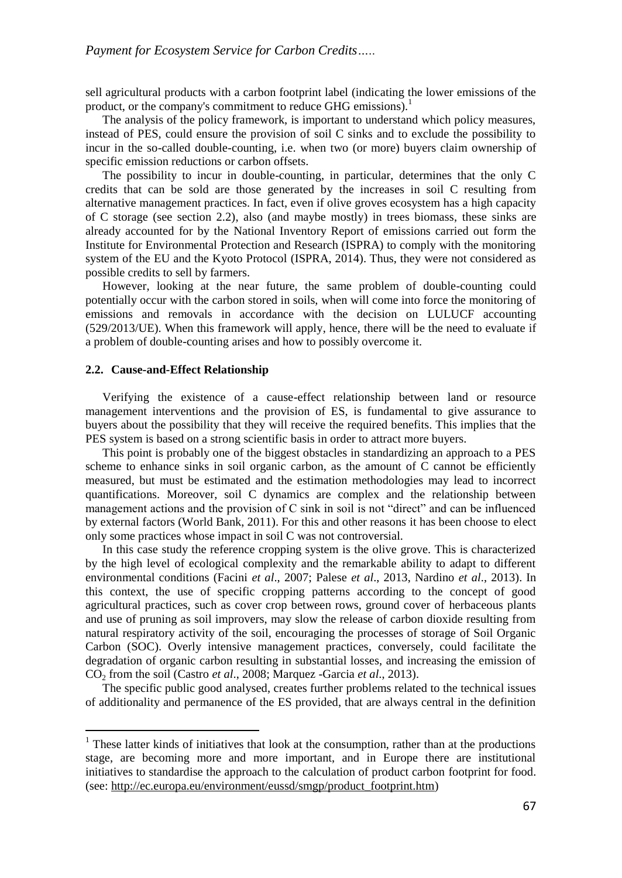sell agricultural products with a carbon footprint label (indicating the lower emissions of the product, or the company's commitment to reduce GHG emissions).<sup>1</sup>

The analysis of the policy framework, is important to understand which policy measures, instead of PES, could ensure the provision of soil C sinks and to exclude the possibility to incur in the so-called double-counting, i.e. when two (or more) buyers claim ownership of specific emission reductions or carbon offsets.

The possibility to incur in double-counting, in particular, determines that the only C credits that can be sold are those generated by the increases in soil C resulting from alternative management practices. In fact, even if olive groves ecosystem has a high capacity of C storage (see section 2.2), also (and maybe mostly) in trees biomass, these sinks are already accounted for by the National Inventory Report of emissions carried out form the Institute for Environmental Protection and Research (ISPRA) to comply with the monitoring system of the EU and the Kyoto Protocol (ISPRA, 2014). Thus, they were not considered as possible credits to sell by farmers.

However, looking at the near future, the same problem of double-counting could potentially occur with the carbon stored in soils, when will come into force the monitoring of emissions and removals in accordance with the decision on LULUCF accounting (529/2013/UE). When this framework will apply, hence, there will be the need to evaluate if a problem of double-counting arises and how to possibly overcome it.

#### **2.2. Cause-and-Effect Relationship**

 $\overline{\phantom{a}}$ 

Verifying the existence of a cause-effect relationship between land or resource management interventions and the provision of ES, is fundamental to give assurance to buyers about the possibility that they will receive the required benefits. This implies that the PES system is based on a strong scientific basis in order to attract more buyers.

This point is probably one of the biggest obstacles in standardizing an approach to a PES scheme to enhance sinks in soil organic carbon, as the amount of C cannot be efficiently measured, but must be estimated and the estimation methodologies may lead to incorrect quantifications. Moreover, soil C dynamics are complex and the relationship between management actions and the provision of C sink in soil is not "direct" and can be influenced by external factors (World Bank, 2011). For this and other reasons it has been choose to elect only some practices whose impact in soil C was not controversial.

In this case study the reference cropping system is the olive grove. This is characterized by the high level of ecological complexity and the remarkable ability to adapt to different environmental conditions (Facini *et al*., 2007; Palese *et al*., 2013, Nardino *et al*., 2013). In this context, the use of specific cropping patterns according to the concept of good agricultural practices, such as cover crop between rows, ground cover of herbaceous plants and use of pruning as soil improvers, may slow the release of carbon dioxide resulting from natural respiratory activity of the soil, encouraging the processes of storage of Soil Organic Carbon (SOC). Overly intensive management practices, conversely, could facilitate the degradation of organic carbon resulting in substantial losses, and increasing the emission of CO<sup>2</sup> from the soil (Castro *et al*., 2008; Marquez -Garcia *et al*., 2013).

The specific public good analysed, creates further problems related to the technical issues of additionality and permanence of the ES provided, that are always central in the definition

 $1$  These latter kinds of initiatives that look at the consumption, rather than at the productions stage, are becoming more and more important, and in Europe there are institutional initiatives to standardise the approach to the calculation of product carbon footprint for food. (see: [http://ec.europa.eu/environment/eussd/smgp/product\\_footprint.htm\)](http://ec.europa.eu/environment/eussd/smgp/product_footprint.htm)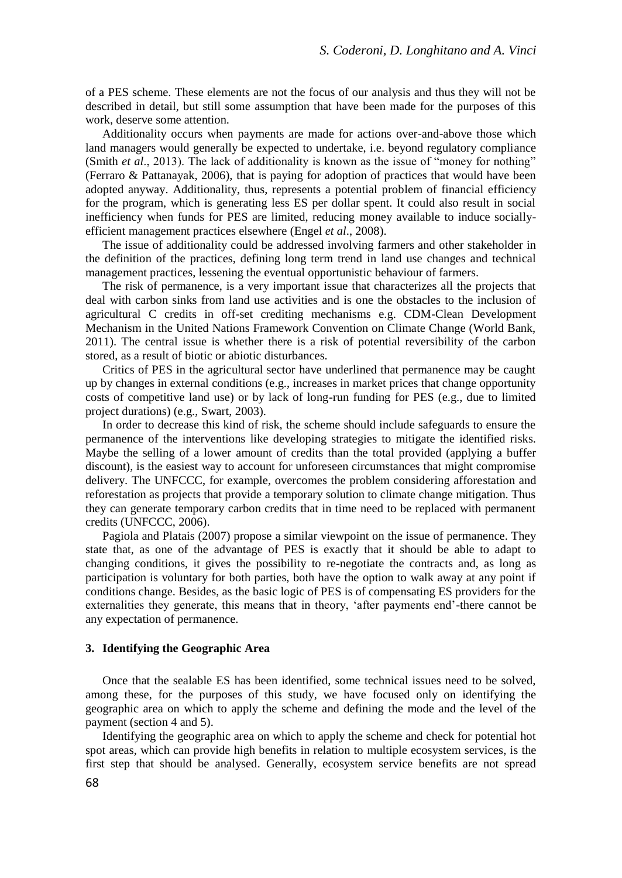of a PES scheme. These elements are not the focus of our analysis and thus they will not be described in detail, but still some assumption that have been made for the purposes of this work, deserve some attention.

Additionality occurs when payments are made for actions over-and-above those which land managers would generally be expected to undertake, i.e. beyond regulatory compliance (Smith *et al*., 2013). The lack of additionality is known as the issue of "money for nothing" (Ferraro & Pattanayak, 2006), that is paying for adoption of practices that would have been adopted anyway. Additionality, thus, represents a potential problem of financial efficiency for the program, which is generating less ES per dollar spent. It could also result in social inefficiency when funds for PES are limited, reducing money available to induce sociallyefficient management practices elsewhere (Engel *et al*., 2008).

The issue of additionality could be addressed involving farmers and other stakeholder in the definition of the practices, defining long term trend in land use changes and technical management practices, lessening the eventual opportunistic behaviour of farmers.

The risk of permanence, is a very important issue that characterizes all the projects that deal with carbon sinks from land use activities and is one the obstacles to the inclusion of agricultural C credits in off-set crediting mechanisms e.g. CDM-Clean Development Mechanism in the United Nations Framework Convention on Climate Change (World Bank, 2011). The central issue is whether there is a risk of potential reversibility of the carbon stored, as a result of biotic or abiotic disturbances.

Critics of PES in the agricultural sector have underlined that permanence may be caught up by changes in external conditions (e.g., increases in market prices that change opportunity costs of competitive land use) or by lack of long-run funding for PES (e.g., due to limited project durations) (e.g., Swart, 2003).

In order to decrease this kind of risk, the scheme should include safeguards to ensure the permanence of the interventions like developing strategies to mitigate the identified risks. Maybe the selling of a lower amount of credits than the total provided (applying a buffer discount), is the easiest way to account for unforeseen circumstances that might compromise delivery. The UNFCCC, for example, overcomes the problem considering afforestation and reforestation as projects that provide a temporary solution to climate change mitigation. Thus they can generate temporary carbon credits that in time need to be replaced with permanent credits (UNFCCC, 2006).

Pagiola and Platais (2007) propose a similar viewpoint on the issue of permanence. They state that, as one of the advantage of PES is exactly that it should be able to adapt to changing conditions, it gives the possibility to re-negotiate the contracts and, as long as participation is voluntary for both parties, both have the option to walk away at any point if conditions change. Besides, as the basic logic of PES is of compensating ES providers for the externalities they generate, this means that in theory, 'after payments end'-there cannot be any expectation of permanence.

## **3. Identifying the Geographic Area**

Once that the sealable ES has been identified, some technical issues need to be solved, among these, for the purposes of this study, we have focused only on identifying the geographic area on which to apply the scheme and defining the mode and the level of the payment (section 4 and 5).

Identifying the geographic area on which to apply the scheme and check for potential hot spot areas, which can provide high benefits in relation to multiple ecosystem services, is the first step that should be analysed. Generally, ecosystem service benefits are not spread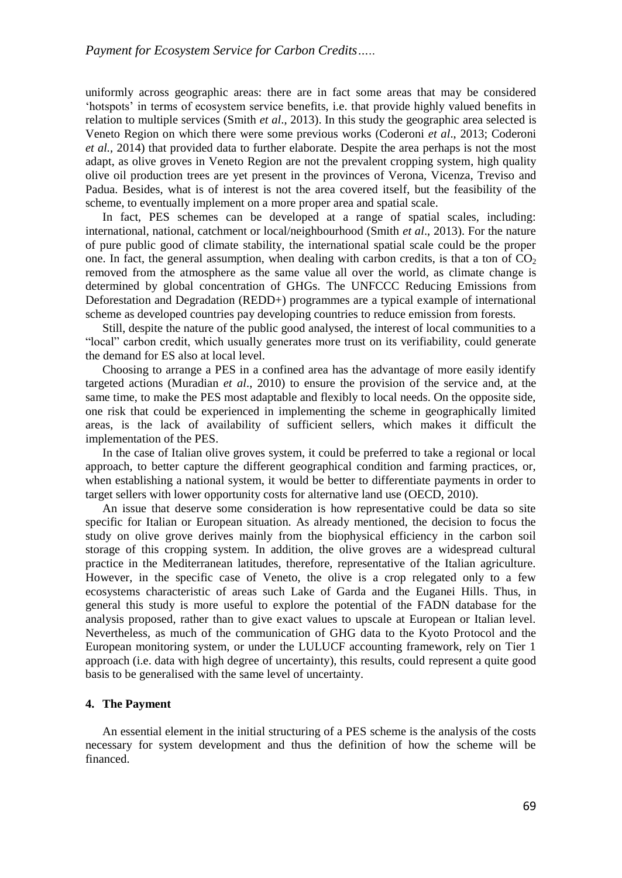uniformly across geographic areas: there are in fact some areas that may be considered 'hotspots' in terms of ecosystem service benefits, i.e. that provide highly valued benefits in relation to multiple services (Smith *et al*., 2013). In this study the geographic area selected is Veneto Region on which there were some previous works (Coderoni *et al*., 2013; Coderoni *et al.,* 2014) that provided data to further elaborate. Despite the area perhaps is not the most adapt, as olive groves in Veneto Region are not the prevalent cropping system, high quality olive oil production trees are yet present in the provinces of Verona, Vicenza, Treviso and Padua. Besides, what is of interest is not the area covered itself, but the feasibility of the scheme, to eventually implement on a more proper area and spatial scale.

In fact, PES schemes can be developed at a range of spatial scales, including: international, national, catchment or local/neighbourhood (Smith *et al*., 2013). For the nature of pure public good of climate stability, the international spatial scale could be the proper one. In fact, the general assumption, when dealing with carbon credits, is that a ton of  $CO<sub>2</sub>$ removed from the atmosphere as the same value all over the world, as climate change is determined by global concentration of GHGs. The UNFCCC Reducing Emissions from Deforestation and Degradation (REDD+) programmes are a typical example of international scheme as developed countries pay developing countries to reduce emission from forests.

Still, despite the nature of the public good analysed, the interest of local communities to a "local" carbon credit, which usually generates more trust on its verifiability, could generate the demand for ES also at local level.

Choosing to arrange a PES in a confined area has the advantage of more easily identify targeted actions (Muradian *et al*., 2010) to ensure the provision of the service and, at the same time, to make the PES most adaptable and flexibly to local needs. On the opposite side, one risk that could be experienced in implementing the scheme in geographically limited areas, is the lack of availability of sufficient sellers, which makes it difficult the implementation of the PES.

In the case of Italian olive groves system, it could be preferred to take a regional or local approach, to better capture the different geographical condition and farming practices, or, when establishing a national system, it would be better to differentiate payments in order to target sellers with lower opportunity costs for alternative land use (OECD, 2010).

An issue that deserve some consideration is how representative could be data so site specific for Italian or European situation. As already mentioned, the decision to focus the study on olive grove derives mainly from the biophysical efficiency in the carbon soil storage of this cropping system. In addition, the olive groves are a widespread cultural practice in the Mediterranean latitudes, therefore, representative of the Italian agriculture. However, in the specific case of Veneto, the olive is a crop relegated only to a few ecosystems characteristic of areas such Lake of Garda and the Euganei Hills. Thus, in general this study is more useful to explore the potential of the FADN database for the analysis proposed, rather than to give exact values to upscale at European or Italian level. Nevertheless, as much of the communication of GHG data to the Kyoto Protocol and the European monitoring system, or under the LULUCF accounting framework, rely on Tier 1 approach (i.e. data with high degree of uncertainty), this results, could represent a quite good basis to be generalised with the same level of uncertainty.

#### **4. The Payment**

An essential element in the initial structuring of a PES scheme is the analysis of the costs necessary for system development and thus the definition of how the scheme will be financed.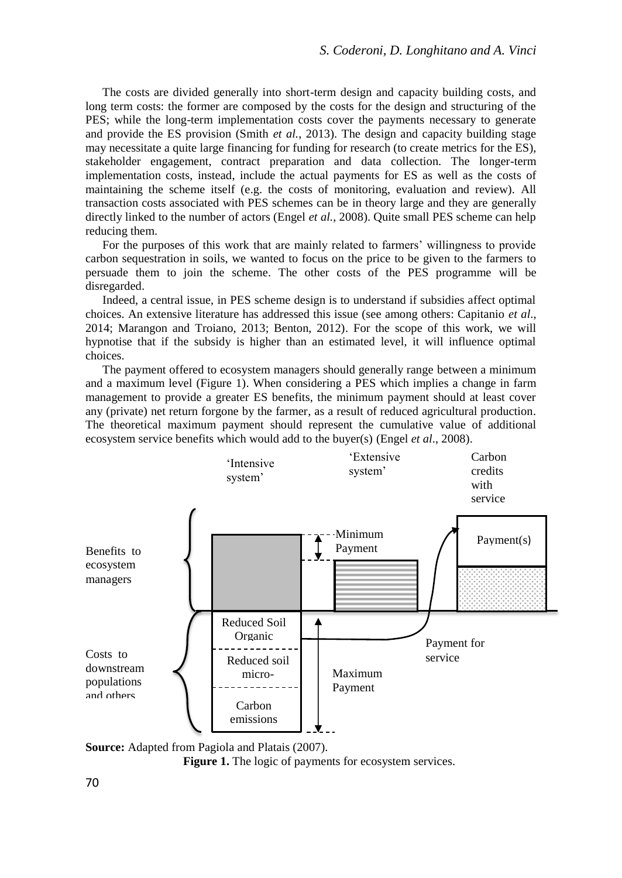The costs are divided generally into short-term design and capacity building costs, and long term costs: the former are composed by the costs for the design and structuring of the PES; while the long-term implementation costs cover the payments necessary to generate and provide the ES provision (Smith *et al.*, 2013). The design and capacity building stage may necessitate a quite large financing for funding for research (to create metrics for the ES), stakeholder engagement, contract preparation and data collection. The longer-term implementation costs, instead, include the actual payments for ES as well as the costs of maintaining the scheme itself (e.g. the costs of monitoring, evaluation and review). All transaction costs associated with PES schemes can be in theory large and they are generally directly linked to the number of actors (Engel *et al.*, 2008). Quite small PES scheme can help reducing them.

For the purposes of this work that are mainly related to farmers' willingness to provide carbon sequestration in soils, we wanted to focus on the price to be given to the farmers to persuade them to join the scheme. The other costs of the PES programme will be disregarded.

Indeed, a central issue, in PES scheme design is to understand if subsidies affect optimal choices. An extensive literature has addressed this issue (see among others: Capitanio *et al*., 2014; Marangon and Troiano, 2013; Benton, 2012). For the scope of this work, we will hypnotise that if the subsidy is higher than an estimated level, it will influence optimal choices.

The payment offered to ecosystem managers should generally range between a minimum and a maximum level (Figure 1). When considering a PES which implies a change in farm management to provide a greater ES benefits, the minimum payment should at least cover any (private) net return forgone by the farmer, as a result of reduced agricultural production. The theoretical maximum payment should represent the cumulative value of additional ecosystem service benefits which would add to the buyer(s) (Engel *et al*., 2008).



**Source:** Adapted from Pagiola and Platais (2007).

Figure 1. The logic of payments for ecosystem services.

70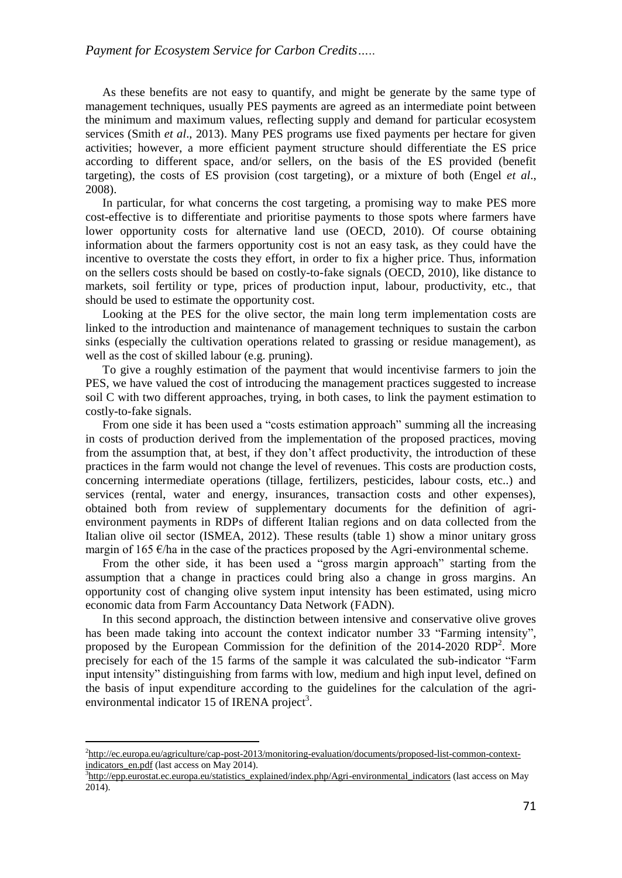As these benefits are not easy to quantify, and might be generate by the same type of management techniques, usually PES payments are agreed as an intermediate point between the minimum and maximum values, reflecting supply and demand for particular ecosystem services (Smith *et al*., 2013). Many PES programs use fixed payments per hectare for given activities; however, a more efficient payment structure should differentiate the ES price according to different space, and/or sellers, on the basis of the ES provided (benefit targeting), the costs of ES provision (cost targeting), or a mixture of both (Engel *et al*., 2008).

In particular, for what concerns the cost targeting, a promising way to make PES more cost-effective is to differentiate and prioritise payments to those spots where farmers have lower opportunity costs for alternative land use (OECD, 2010). Of course obtaining information about the farmers opportunity cost is not an easy task, as they could have the incentive to overstate the costs they effort, in order to fix a higher price. Thus, information on the sellers costs should be based on costly-to-fake signals (OECD, 2010), like distance to markets, soil fertility or type, prices of production input, labour, productivity, etc., that should be used to estimate the opportunity cost.

Looking at the PES for the olive sector, the main long term implementation costs are linked to the introduction and maintenance of management techniques to sustain the carbon sinks (especially the cultivation operations related to grassing or residue management), as well as the cost of skilled labour (e.g. pruning).

To give a roughly estimation of the payment that would incentivise farmers to join the PES, we have valued the cost of introducing the management practices suggested to increase soil C with two different approaches, trying, in both cases, to link the payment estimation to costly-to-fake signals.

From one side it has been used a "costs estimation approach" summing all the increasing in costs of production derived from the implementation of the proposed practices, moving from the assumption that, at best, if they don't affect productivity, the introduction of these practices in the farm would not change the level of revenues. This costs are production costs, concerning intermediate operations (tillage, fertilizers, pesticides, labour costs, etc..) and services (rental, water and energy, insurances, transaction costs and other expenses), obtained both from review of supplementary documents for the definition of agrienvironment payments in RDPs of different Italian regions and on data collected from the Italian olive oil sector (ISMEA, 2012). These results (table 1) show a minor unitary gross margin of 165  $\epsilon$ /ha in the case of the practices proposed by the Agri-environmental scheme.

From the other side, it has been used a "gross margin approach" starting from the assumption that a change in practices could bring also a change in gross margins. An opportunity cost of changing olive system input intensity has been estimated, using micro economic data from Farm Accountancy Data Network (FADN).

In this second approach, the distinction between intensive and conservative olive groves has been made taking into account the context indicator number 33 "Farming intensity", proposed by the European Commission for the definition of the 2014-2020 RDP<sup>2</sup>. More precisely for each of the 15 farms of the sample it was calculated the sub-indicator "Farm input intensity" distinguishing from farms with low, medium and high input level, defined on the basis of input expenditure according to the guidelines for the calculation of the agrienvironmental indicator 15 of IRENA project<sup>3</sup>.

 $\overline{a}$ 

<sup>2</sup> [http://ec.europa.eu/agriculture/cap-post-2013/monitoring-evaluation/documents/proposed-list-common-context](http://ec.europa.eu/agriculture/cap-post-2013/monitoring-evaluation/documents/proposed-list-common-context-indicators_en.pdf)[indicators\\_en.pdf](http://ec.europa.eu/agriculture/cap-post-2013/monitoring-evaluation/documents/proposed-list-common-context-indicators_en.pdf) (last access on May 2014).

<sup>&</sup>lt;sup>3</sup>[http://epp.eurostat.ec.europa.eu/statistics\\_explained/index.php/Agri-environmental\\_indicators](http://epp.eurostat.ec.europa.eu/statistics_explained/index.php/Agri-environmental_indicators) (last access on May 2014).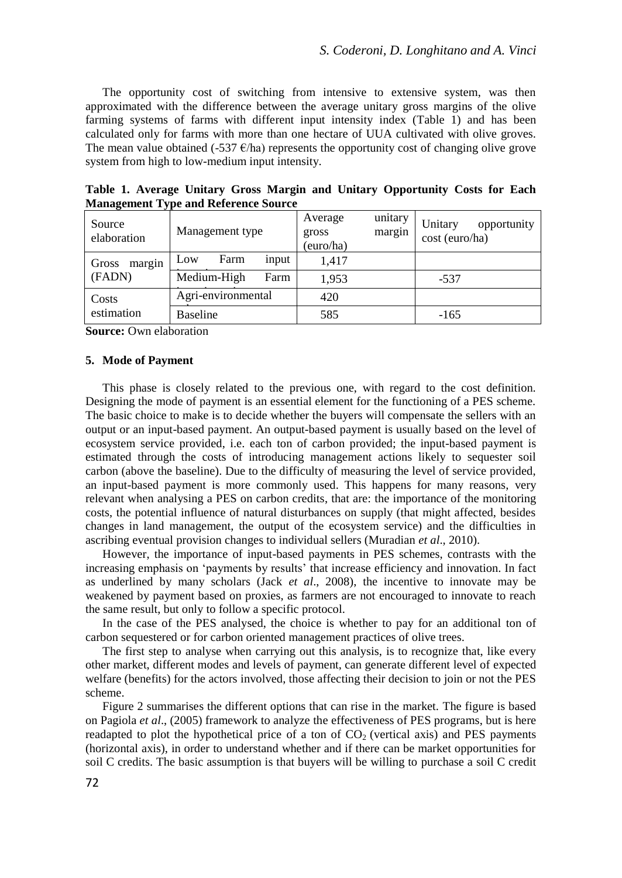The opportunity cost of switching from intensive to extensive system, was then approximated with the difference between the average unitary gross margins of the olive farming systems of farms with different input intensity index (Table 1) and has been calculated only for farms with more than one hectare of UUA cultivated with olive groves. The mean value obtained (-537  $\epsilon$ /ha) represents the opportunity cost of changing olive grove system from high to low-medium input intensity.

| Source<br>elaboration     | Management type      | unitary<br>Average<br>margin<br>gross<br>(euro/ha) | Unitary<br>opportunity<br>cost (euro/ha) |
|---------------------------|----------------------|----------------------------------------------------|------------------------------------------|
| margin<br>Gross<br>(FADN) | Farm<br>input<br>Low | 1,417                                              |                                          |
|                           | Medium-High<br>Farm  | 1.953                                              | $-537$                                   |
| Costs<br>estimation       | Agri-environmental   | 420                                                |                                          |
|                           | <b>Baseline</b>      | 585                                                | $-165$                                   |

**Table 1. Average Unitary Gross Margin and Unitary Opportunity Costs for Each Management Type and Reference Source**

**Source:** Own elaboration

#### **5. Mode of Payment**

This phase is closely related to the previous one, with regard to the cost definition. Designing the mode of payment is an essential element for the functioning of a PES scheme. The basic choice to make is to decide whether the buyers will compensate the sellers with an output or an input-based payment. An output-based payment is usually based on the level of ecosystem service provided, i.e. each ton of carbon provided; the input-based payment is estimated through the costs of introducing management actions likely to sequester soil carbon (above the baseline). Due to the difficulty of measuring the level of service provided, an input-based payment is more commonly used. This happens for many reasons, very relevant when analysing a PES on carbon credits, that are: the importance of the monitoring costs, the potential influence of natural disturbances on supply (that might affected, besides changes in land management, the output of the ecosystem service) and the difficulties in ascribing eventual provision changes to individual sellers (Muradian *et al*., 2010).

However, the importance of input-based payments in PES schemes, contrasts with the increasing emphasis on 'payments by results' that increase efficiency and innovation. In fact as underlined by many scholars (Jack *et al*., 2008), the incentive to innovate may be weakened by payment based on proxies, as farmers are not encouraged to innovate to reach the same result, but only to follow a specific protocol.

In the case of the PES analysed, the choice is whether to pay for an additional ton of carbon sequestered or for carbon oriented management practices of olive trees.

The first step to analyse when carrying out this analysis, is to recognize that, like every other market, different modes and levels of payment, can generate different level of expected welfare (benefits) for the actors involved, those affecting their decision to join or not the PES scheme.

Figure 2 summarises the different options that can rise in the market. The figure is based on Pagiola *et al*., (2005) framework to analyze the effectiveness of PES programs, but is here readapted to plot the hypothetical price of a ton of  $CO<sub>2</sub>$  (vertical axis) and PES payments (horizontal axis), in order to understand whether and if there can be market opportunities for soil C credits. The basic assumption is that buyers will be willing to purchase a soil C credit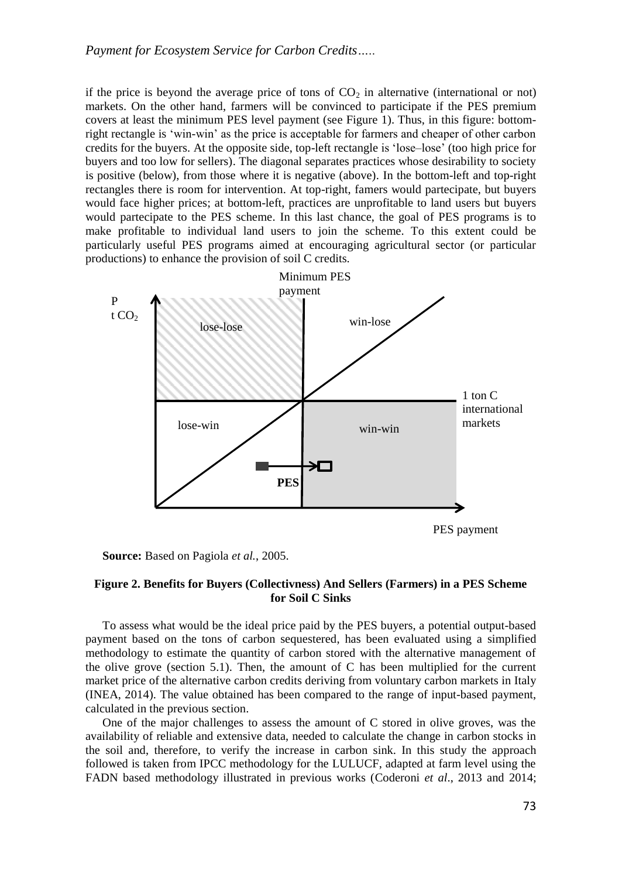if the price is beyond the average price of tons of  $CO<sub>2</sub>$  in alternative (international or not) markets. On the other hand, farmers will be convinced to participate if the PES premium covers at least the minimum PES level payment (see Figure 1). Thus, in this figure: bottomright rectangle is 'win-win' as the price is acceptable for farmers and cheaper of other carbon credits for the buyers. At the opposite side, top-left rectangle is 'lose–lose' (too high price for buyers and too low for sellers). The diagonal separates practices whose desirability to society is positive (below), from those where it is negative (above). In the bottom-left and top-right rectangles there is room for intervention. At top-right, famers would partecipate, but buyers would face higher prices; at bottom-left, practices are unprofitable to land users but buyers would partecipate to the PES scheme. In this last chance, the goal of PES programs is to make profitable to individual land users to join the scheme. To this extent could be particularly useful PES programs aimed at encouraging agricultural sector (or particular productions) to enhance the provision of soil C credits.



**Source:** Based on Pagiola *et al.*, 2005.

## **Figure 2. Benefits for Buyers (Collectivness) And Sellers (Farmers) in a PES Scheme for Soil C Sinks**

To assess what would be the ideal price paid by the PES buyers, a potential output-based payment based on the tons of carbon sequestered, has been evaluated using a simplified methodology to estimate the quantity of carbon stored with the alternative management of the olive grove (section 5.1). Then, the amount of C has been multiplied for the current market price of the alternative carbon credits deriving from voluntary carbon markets in Italy (INEA, 2014). The value obtained has been compared to the range of input-based payment, calculated in the previous section.

One of the major challenges to assess the amount of C stored in olive groves, was the availability of reliable and extensive data, needed to calculate the change in carbon stocks in the soil and, therefore, to verify the increase in carbon sink. In this study the approach followed is taken from IPCC methodology for the LULUCF, adapted at farm level using the FADN based methodology illustrated in previous works (Coderoni *et al*., 2013 and 2014;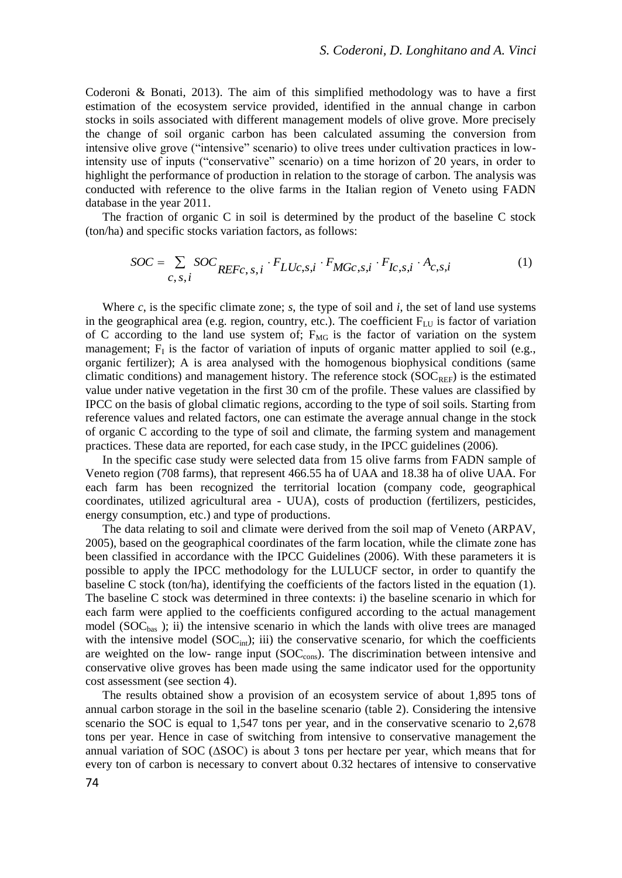Coderoni & Bonati, 2013). The aim of this simplified methodology was to have a first estimation of the ecosystem service provided, identified in the annual change in carbon stocks in soils associated with different management models of olive grove. More precisely the change of soil organic carbon has been calculated assuming the conversion from intensive olive grove ("intensive" scenario) to olive trees under cultivation practices in lowintensity use of inputs ("conservative" scenario) on a time horizon of 20 years, in order to highlight the performance of production in relation to the storage of carbon. The analysis was conducted with reference to the olive farms in the Italian region of Veneto using FADN database in the year 2011.

The fraction of organic C in soil is determined by the product of the baseline C stock (ton/ha) and specific stocks variation factors, as follows:

$$
SOC = \sum_{c, s, i} SOC_{REFc, s, i} \cdot F_{LUc, s, i} \cdot F_{MGc, s, i} \cdot F_{Ic, s, i} \cdot A_{c, s, i} \tag{1}
$$

Where *c*, is the specific climate zone; *s*, the type of soil and *i*, the set of land use systems in the geographical area (e.g. region, country, etc.). The coefficient  $F_{LU}$  is factor of variation of C according to the land use system of;  $F_{MG}$  is the factor of variation on the system management;  $F<sub>I</sub>$  is the factor of variation of inputs of organic matter applied to soil (e.g., organic fertilizer); A is area analysed with the homogenous biophysical conditions (same climatic conditions) and management history. The reference stock  $(SOC<sub>REF</sub>)$  is the estimated value under native vegetation in the first 30 cm of the profile. These values are classified by IPCC on the basis of global climatic regions, according to the type of soil soils. Starting from reference values and related factors, one can estimate the average annual change in the stock of organic C according to the type of soil and climate, the farming system and management practices. These data are reported, for each case study, in the IPCC guidelines (2006).

In the specific case study were selected data from 15 olive farms from FADN sample of Veneto region (708 farms), that represent 466.55 ha of UAA and 18.38 ha of olive UAA. For each farm has been recognized the territorial location (company code, geographical coordinates, utilized agricultural area - UUA), costs of production (fertilizers, pesticides, energy consumption, etc.) and type of productions.

The data relating to soil and climate were derived from the soil map of Veneto (ARPAV, 2005), based on the geographical coordinates of the farm location, while the climate zone has been classified in accordance with the IPCC Guidelines (2006). With these parameters it is possible to apply the IPCC methodology for the LULUCF sector, in order to quantify the baseline C stock (ton/ha), identifying the coefficients of the factors listed in the equation (1). The baseline C stock was determined in three contexts: i) the baseline scenario in which for each farm were applied to the coefficients configured according to the actual management model ( $SOC<sub>bas</sub>$ ); ii) the intensive scenario in which the lands with olive trees are managed with the intensive model  $(SOC<sub>int</sub>)$ ; iii) the conservative scenario, for which the coefficients are weighted on the low- range input  $(SOC<sub>cons</sub>)$ . The discrimination between intensive and conservative olive groves has been made using the same indicator used for the opportunity cost assessment (see section 4).

The results obtained show a provision of an ecosystem service of about 1,895 tons of annual carbon storage in the soil in the baseline scenario (table 2). Considering the intensive scenario the SOC is equal to 1,547 tons per year, and in the conservative scenario to 2,678 tons per year. Hence in case of switching from intensive to conservative management the annual variation of SOC (∆SOC) is about 3 tons per hectare per year, which means that for every ton of carbon is necessary to convert about 0.32 hectares of intensive to conservative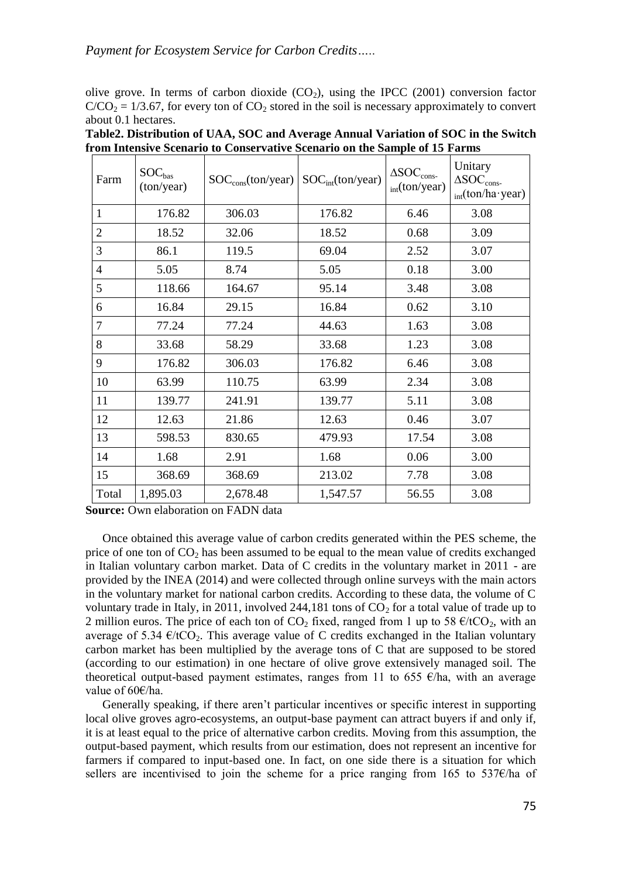olive grove. In terms of carbon dioxide  $(CO<sub>2</sub>)$ , using the IPCC (2001) conversion factor  $C/CO<sub>2</sub> = 1/3.67$ , for every ton of CO<sub>2</sub> stored in the soil is necessary approximately to convert about 0.1 hectares.

| Farm           | $SOC_{bas}$<br>(ton/year) | $SOC_{\rm cons}$ (ton/year) | SOC <sub>int</sub> (ton/year) | $\Delta SOC_{cons}$<br>$_{\text{int}}$ (ton/year) | Unitary<br>$\Delta SOC_{cons}$<br>$_{\text{int}}(\text{ton/ha}\cdot \text{year})$ |
|----------------|---------------------------|-----------------------------|-------------------------------|---------------------------------------------------|-----------------------------------------------------------------------------------|
| $\mathbf{1}$   | 176.82                    | 306.03                      | 176.82                        | 6.46                                              | 3.08                                                                              |
| 2              | 18.52                     | 32.06                       | 18.52                         | 0.68                                              | 3.09                                                                              |
| 3              | 86.1                      | 119.5                       | 69.04                         | 2.52                                              | 3.07                                                                              |
| $\overline{4}$ | 5.05                      | 8.74                        | 5.05                          | 0.18                                              | 3.00                                                                              |
| 5              | 118.66                    | 164.67                      | 95.14                         | 3.48                                              | 3.08                                                                              |
| 6              | 16.84                     | 29.15                       | 16.84                         | 0.62                                              | 3.10                                                                              |
| 7              | 77.24                     | 77.24                       | 44.63                         | 1.63                                              | 3.08                                                                              |
| 8              | 33.68                     | 58.29                       | 33.68                         | 1.23                                              | 3.08                                                                              |
| 9              | 176.82                    | 306.03                      | 176.82                        | 6.46                                              | 3.08                                                                              |
| 10             | 63.99                     | 110.75                      | 63.99                         | 2.34                                              | 3.08                                                                              |
| 11             | 139.77                    | 241.91                      | 139.77                        | 5.11                                              | 3.08                                                                              |
| 12             | 12.63                     | 21.86                       | 12.63                         | 0.46                                              | 3.07                                                                              |
| 13             | 598.53                    | 830.65                      | 479.93                        | 17.54                                             | 3.08                                                                              |
| 14             | 1.68                      | 2.91                        | 1.68                          | 0.06                                              | 3.00                                                                              |
| 15             | 368.69                    | 368.69                      | 213.02                        | 7.78                                              | 3.08                                                                              |
| Total          | 1,895.03                  | 2,678.48                    | 1,547.57                      | 56.55                                             | 3.08                                                                              |

**Table2. Distribution of UAA, SOC and Average Annual Variation of SOC in the Switch from Intensive Scenario to Conservative Scenario on the Sample of 15 Farms**

**Source:** Own elaboration on FADN data

Once obtained this average value of carbon credits generated within the PES scheme, the price of one ton of  $CO<sub>2</sub>$  has been assumed to be equal to the mean value of credits exchanged in Italian voluntary carbon market. Data of C credits in the voluntary market in 2011 - are provided by the INEA (2014) and were collected through online surveys with the main actors in the voluntary market for national carbon credits. According to these data, the volume of C voluntary trade in Italy, in 2011, involved 244,181 tons of  $CO<sub>2</sub>$  for a total value of trade up to 2 million euros. The price of each ton of  $CO_2$  fixed, ranged from 1 up to 58  $\epsilon$ /tCO<sub>2</sub>, with an average of 5.34  $\epsilon$ /tCO<sub>2</sub>. This average value of C credits exchanged in the Italian voluntary carbon market has been multiplied by the average tons of C that are supposed to be stored (according to our estimation) in one hectare of olive grove extensively managed soil. The theoretical output-based payment estimates, ranges from 11 to 655  $\epsilon$ /ha, with an average value of 60€/ha.

Generally speaking, if there aren't particular incentives or specific interest in supporting local olive groves agro-ecosystems, an output-base payment can attract buyers if and only if, it is at least equal to the price of alternative carbon credits. Moving from this assumption, the output-based payment, which results from our estimation, does not represent an incentive for farmers if compared to input-based one. In fact, on one side there is a situation for which sellers are incentivised to join the scheme for a price ranging from 165 to 537€/ha of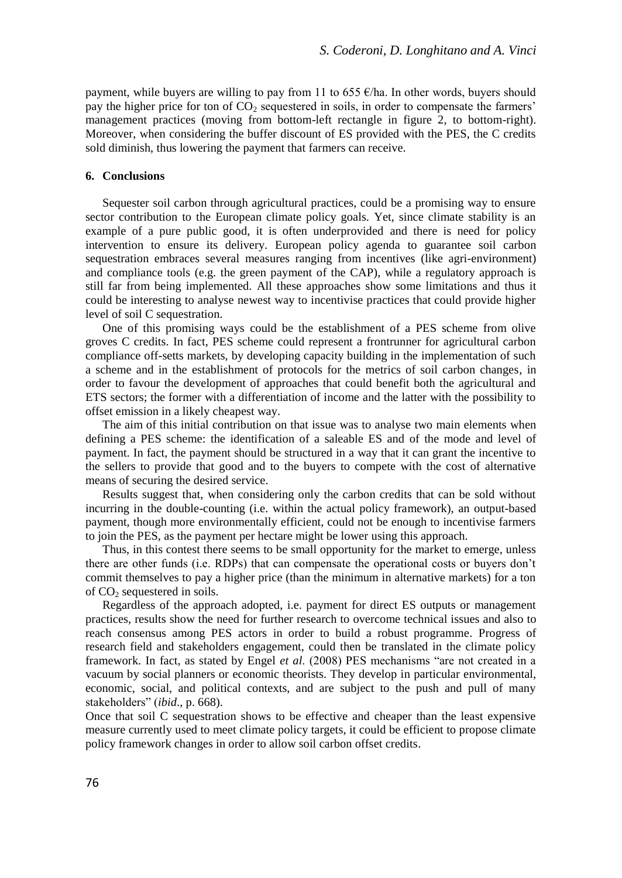payment, while buyers are willing to pay from 11 to 655  $\epsilon$ /ha. In other words, buyers should pay the higher price for ton of  $CO<sub>2</sub>$  sequestered in soils, in order to compensate the farmers' management practices (moving from bottom-left rectangle in figure 2, to bottom-right). Moreover, when considering the buffer discount of ES provided with the PES, the C credits sold diminish, thus lowering the payment that farmers can receive.

#### **6. Conclusions**

Sequester soil carbon through agricultural practices, could be a promising way to ensure sector contribution to the European climate policy goals. Yet, since climate stability is an example of a pure public good, it is often underprovided and there is need for policy intervention to ensure its delivery. European policy agenda to guarantee soil carbon sequestration embraces several measures ranging from incentives (like agri-environment) and compliance tools (e.g. the green payment of the CAP), while a regulatory approach is still far from being implemented. All these approaches show some limitations and thus it could be interesting to analyse newest way to incentivise practices that could provide higher level of soil C sequestration.

One of this promising ways could be the establishment of a PES scheme from olive groves C credits. In fact, PES scheme could represent a frontrunner for agricultural carbon compliance off-setts markets, by developing capacity building in the implementation of such a scheme and in the establishment of protocols for the metrics of soil carbon changes, in order to favour the development of approaches that could benefit both the agricultural and ETS sectors; the former with a differentiation of income and the latter with the possibility to offset emission in a likely cheapest way.

The aim of this initial contribution on that issue was to analyse two main elements when defining a PES scheme: the identification of a saleable ES and of the mode and level of payment. In fact, the payment should be structured in a way that it can grant the incentive to the sellers to provide that good and to the buyers to compete with the cost of alternative means of securing the desired service.

Results suggest that, when considering only the carbon credits that can be sold without incurring in the double-counting (i.e. within the actual policy framework), an output-based payment, though more environmentally efficient, could not be enough to incentivise farmers to join the PES, as the payment per hectare might be lower using this approach.

Thus, in this contest there seems to be small opportunity for the market to emerge, unless there are other funds (i.e. RDPs) that can compensate the operational costs or buyers don't commit themselves to pay a higher price (than the minimum in alternative markets) for a ton of  $CO<sub>2</sub>$  sequestered in soils.

Regardless of the approach adopted, i.e. payment for direct ES outputs or management practices, results show the need for further research to overcome technical issues and also to reach consensus among PES actors in order to build a robust programme. Progress of research field and stakeholders engagement, could then be translated in the climate policy framework. In fact, as stated by Engel *et al*. (2008) PES mechanisms "are not created in a vacuum by social planners or economic theorists. They develop in particular environmental, economic, social, and political contexts, and are subject to the push and pull of many stakeholders" (*ibid*., p. 668).

Once that soil C sequestration shows to be effective and cheaper than the least expensive measure currently used to meet climate policy targets, it could be efficient to propose climate policy framework changes in order to allow soil carbon offset credits.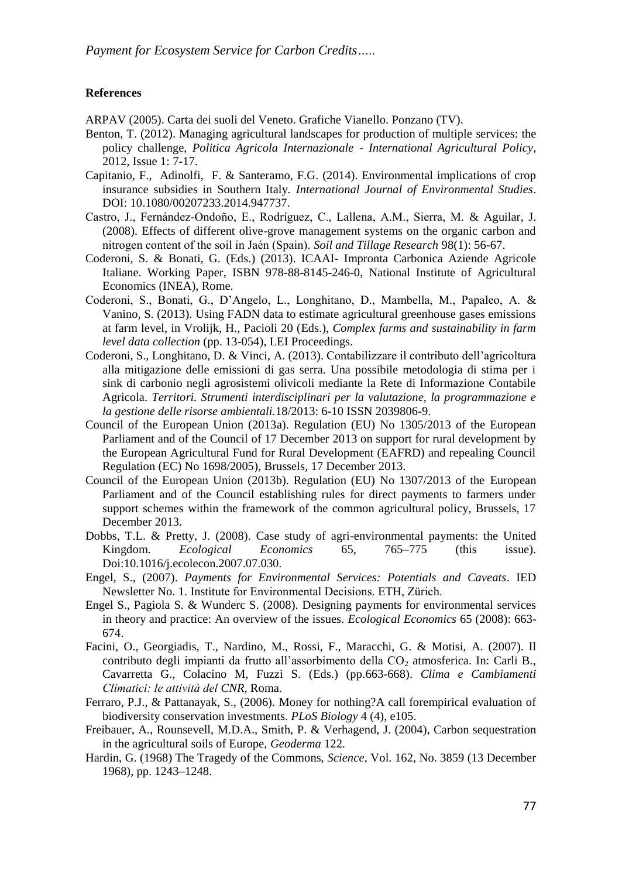## **References**

ARPAV (2005). Carta dei suoli del Veneto. Grafiche Vianello. Ponzano (TV).

- Benton, T. (2012). Managing agricultural landscapes for production of multiple services: the policy challenge, *Politica Agricola Internazionale - International Agricultural Policy*, 2012, Issue 1: 7-17.
- Capitanio, F., Adinolfi, F. & Santeramo, F.G. (2014). Environmental implications of crop insurance subsidies in Southern Italy. *International Journal of Environmental Studies*. DOI: 10.1080/00207233.2014.947737.
- Castro, J., Fernández-Ondoño, E., Rodríguez, C., Lallena, A.M., Sierra, M. & Aguilar, J. (2008). Effects of different olive-grove management systems on the organic carbon and nitrogen content of the soil in Jaén (Spain). *Soil and Tillage Research* 98(1): 56-67.
- Coderoni, S. & Bonati, G. (Eds.) (2013). ICAAI- Impronta Carbonica Aziende Agricole Italiane. Working Paper, ISBN 978-88-8145-246-0, National Institute of Agricultural Economics (INEA), Rome.
- Coderoni, S., Bonati, G., D'Angelo, L., Longhitano, D., Mambella, M., Papaleo, A. & Vanino, S. (2013). Using FADN data to estimate agricultural greenhouse gases emissions at farm level, in Vrolijk, H., Pacioli 20 (Eds.), *Complex farms and sustainability in farm level data collection* (pp. 13-054), LEI Proceedings.
- Coderoni, S., Longhitano, D. & Vinci, A. (2013). Contabilizzare il contributo dell'agricoltura alla mitigazione delle emissioni di gas serra. Una possibile metodologia di stima per i sink di carbonio negli agrosistemi olivicoli mediante la Rete di Informazione Contabile Agricola. *Territori. Strumenti interdisciplinari per la valutazione, la programmazione e la gestione delle risorse ambientali.*18/2013: 6-10 ISSN 2039806-9.
- Council of the European Union (2013a). Regulation (EU) No 1305/2013 of the European Parliament and of the Council of 17 December 2013 on support for rural development by the European Agricultural Fund for Rural Development (EAFRD) and repealing Council Regulation (EC) No 1698/2005), Brussels, 17 December 2013.
- Council of the European Union (2013b). Regulation (EU) No 1307/2013 of the European Parliament and of the Council establishing rules for direct payments to farmers under support schemes within the framework of the common agricultural policy, Brussels, 17 December 2013.
- Dobbs, T.L. & Pretty, J. (2008). Case study of agri-environmental payments: the United Kingdom. *Ecological Economics* 65, 765–775 (this issue). Doi:10.1016/j.ecolecon.2007.07.030.
- Engel, S., (2007). *Payments for Environmental Services: Potentials and Caveats*. IED Newsletter No. 1. Institute for Environmental Decisions. ETH, Zürich.
- Engel S., Pagiola S. & Wunderc S. (2008). Designing payments for environmental services in theory and practice: An overview of the issues. *Ecological Economics* 65 (2008): 663- 674.
- Facini, O., Georgiadis, T., Nardino, M., Rossi, F., Maracchi, G. & Motisi, A. (2007). Il contributo degli impianti da frutto all'assorbimento della CO<sub>2</sub> atmosferica. In: Carli B., Cavarretta G., Colacino M, Fuzzi S. (Eds.) (pp.663-668). *Clima e Cambiamenti Climatici: le attività del CNR*, Roma.
- Ferraro, P.J., & Pattanayak, S., (2006). Money for nothing?A call forempirical evaluation of biodiversity conservation investments. *PLoS Biology* 4 (4), e105.
- Freibauer, A., Rounsevell, M.D.A., Smith, P. & Verhagend, J. (2004), Carbon sequestration in the agricultural soils of Europe, *Geoderma* 122.
- Hardin, G. (1968) The Tragedy of the Commons, *Science*, Vol. 162, No. 3859 (13 December 1968), pp. 1243–1248.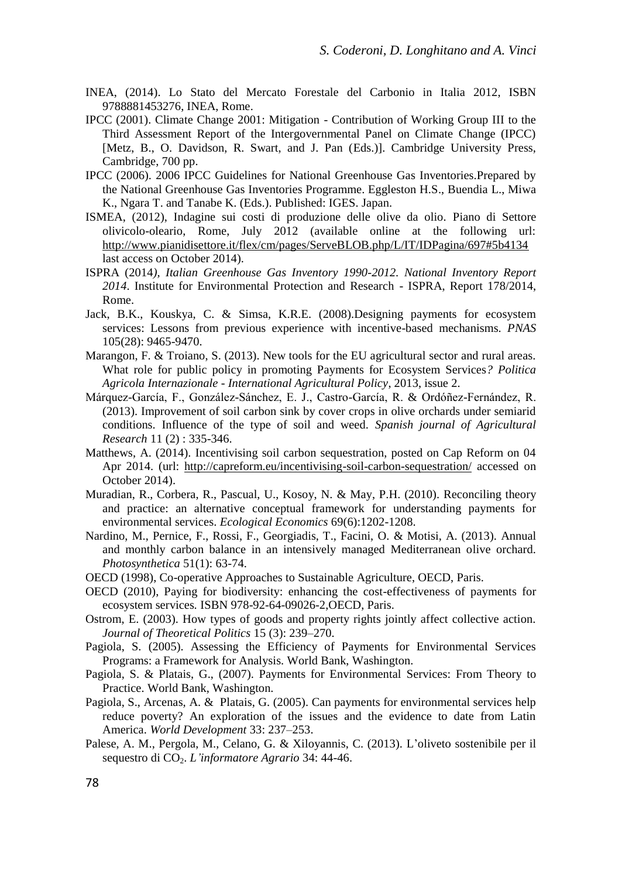- INEA, (2014). Lo Stato del Mercato Forestale del Carbonio in Italia 2012, ISBN 9788881453276, INEA, Rome.
- IPCC (2001). Climate Change 2001: Mitigation Contribution of Working Group III to the Third Assessment Report of the Intergovernmental Panel on Climate Change (IPCC) [Metz, B., O. Davidson, R. Swart, and J. Pan (Eds.)]. Cambridge University Press, Cambridge, 700 pp.
- IPCC (2006). 2006 IPCC Guidelines for National Greenhouse Gas Inventories.Prepared by the National Greenhouse Gas Inventories Programme. Eggleston H.S., Buendia L., Miwa K., Ngara T. and Tanabe K. (Eds.). Published: IGES. Japan.
- ISMEA, (2012), Indagine sui costi di produzione delle olive da olio. Piano di Settore olivicolo-oleario, Rome, July 2012 (available online at the following url: <http://www.pianidisettore.it/flex/cm/pages/ServeBLOB.php/L/IT/IDPagina/697#5b4134> last access on October 2014).
- ISPRA (2014*), Italian Greenhouse Gas Inventory 1990-2012. National Inventory Report 2014*. Institute for Environmental Protection and Research - ISPRA, Report 178/2014, Rome.
- Jack, B.K., Kouskya, C. & Simsa, K.R.E. (2008).Designing payments for ecosystem services: Lessons from previous experience with incentive-based mechanisms. *PNAS*  105(28): 9465-9470.
- Marangon, F. & Troiano, S. (2013). New tools for the EU agricultural sector and rural areas. What role for public policy in promoting Payments for Ecosystem Services*? Politica Agricola Internazionale - International Agricultural Policy*, 2013, issue 2.
- Márquez-García, F., González-Sánchez, E. J., Castro-García, R. & Ordóñez-Fernández, R. (2013). Improvement of soil carbon sink by cover crops in olive orchards under semiarid conditions. Influence of the type of soil and weed. *Spanish journal of Agricultural Research* 11 (2) : 335-346.
- Matthews, A. (2014). Incentivising soil carbon sequestration, posted on Cap Reform on 04 Apr 2014. (url:<http://capreform.eu/incentivising-soil-carbon-sequestration/> accessed on October 2014).
- Muradian, R., Corbera, R., Pascual, U., Kosoy, N. & May, P.H. (2010). Reconciling theory and practice: an alternative conceptual framework for understanding payments for environmental services. *Ecological Economics* 69(6):1202-1208.
- Nardino, M., Pernice, F., Rossi, F., Georgiadis, T., Facini, O. & Motisi, A. (2013). Annual and monthly carbon balance in an intensively managed Mediterranean olive orchard. *Photosynthetica* 51(1): 63-74.
- OECD (1998), Co-operative Approaches to Sustainable Agriculture, OECD, Paris.
- OECD (2010), Paying for biodiversity: enhancing the cost-effectiveness of payments for ecosystem services*.* ISBN 978-92-64-09026-2,OECD, Paris.
- Ostrom, E. (2003). How types of goods and property rights jointly affect collective action. *Journal of Theoretical Politics* 15 (3): 239–270.
- Pagiola, S. (2005). Assessing the Efficiency of Payments for Environmental Services Programs: a Framework for Analysis. World Bank, Washington.
- Pagiola, S. & Platais, G., (2007). Payments for Environmental Services: From Theory to Practice. World Bank, Washington.
- Pagiola, S., Arcenas, A. & Platais, G. (2005). Can payments for environmental services help reduce poverty? An exploration of the issues and the evidence to date from Latin America. *World Development* 33: 237–253.
- Palese, A. M., Pergola, M., Celano, G. & Xiloyannis, C. (2013). L'oliveto sostenibile per il sequestro di CO2. *L'informatore Agrario* 34: 44-46.